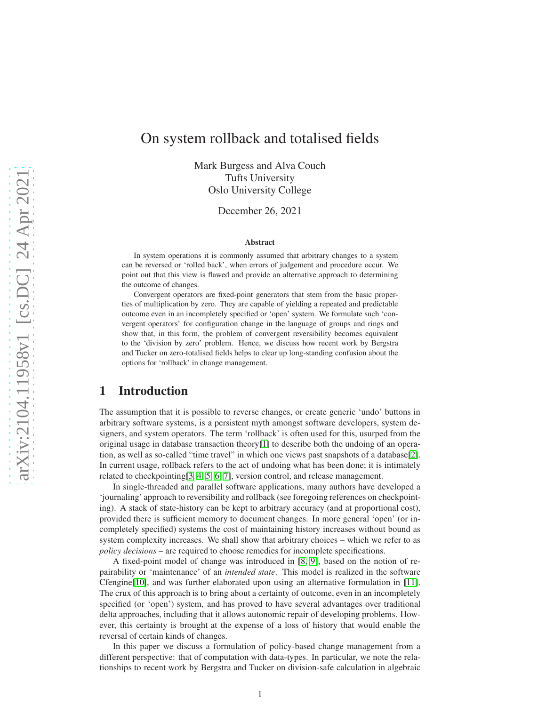# On system rollback and totalised fields

Mark Burgess and Alva Couch Tufts University Oslo University College

December 26, 2021

#### Abstract

In system operations it is commonly assumed that arbitrary changes to a system can be reversed or 'rolled back', when errors of judgement and procedure occur. We point out that this view is flawed and provide an alternative approach to determining the outcome of changes.

Convergent operators are fixed-point generators that stem from the basic properties of multiplication by zero. They are capable of yielding a repeated and predictable outcome even in an incompletely specified or 'open' system. We formulate such 'convergent operators' for configuration change in the language of groups and rings and show that, in this form, the problem of convergent reversibility becomes equivalent to the 'division by zero' problem. Hence, we discuss how recent work by Bergstra and Tucker on zero-totalised fields helps to clear up long-standing confusion about the options for 'rollback' in change management.

# 1 Introduction

The assumption that it is possible to reverse changes, or create generic 'undo' buttons in arbitrary software systems, is a persistent myth amongst software developers, system designers, and system operators. The term 'rollback' is often used for this, usurped from the original usage in database transaction theory $[1]$  to describe both the undoing of an operation, as well as so-called "time travel" in which one views past snapshots of a database[\[2\]](#page-15-1). In current usage, rollback refers to the act of undoing what has been done; it is intimately related to checkpointing[\[3,](#page-15-2) [4,](#page-16-0) [5,](#page-16-1) [6,](#page-16-2) [7\]](#page-16-3), version control, and release management.

In single-threaded and parallel software applications, many authors have developed a 'journaling' approach to reversibility and rollback (see foregoing references on checkpointing). A stack of state-history can be kept to arbitrary accuracy (and at proportional cost), provided there is sufficient memory to document changes. In more general 'open' (or incompletely specified) systems the cost of maintaining history increases without bound as system complexity increases. We shall show that arbitrary choices – which we refer to as *policy decisions* – are required to choose remedies for incomplete specifications.

A fixed-point model of change was introduced in [\[8,](#page-16-4) [9\]](#page-16-5), based on the notion of repairability or 'maintenance' of an *intended state*. This model is realized in the software Cfengine[\[10\]](#page-16-6), and was further elaborated upon using an alternative formulation in [\[11\]](#page-16-7). The crux of this approach is to bring about a certainty of outcome, even in an incompletely specified (or 'open') system, and has proved to have several advantages over traditional delta approaches, including that it allows autonomic repair of developing problems. However, this certainty is brought at the expense of a loss of history that would enable the reversal of certain kinds of changes.

In this paper we discuss a formulation of policy-based change management from a different perspective: that of computation with data-types. In particular, we note the relationships to recent work by Bergstra and Tucker on division-safe calculation in algebraic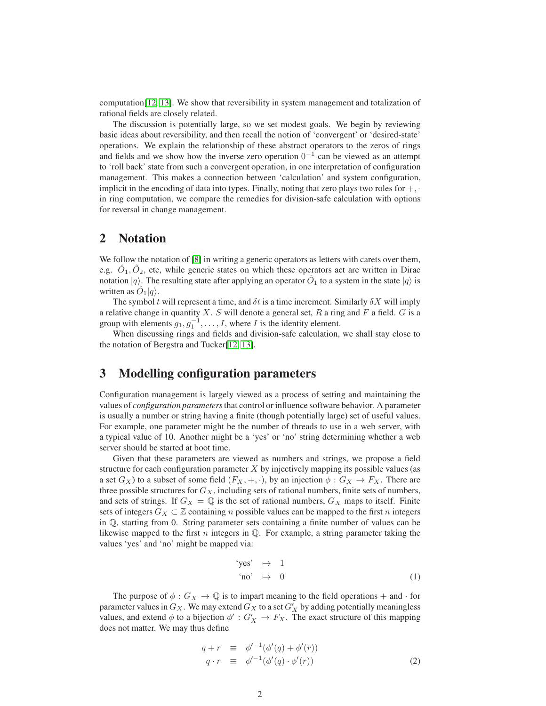computation[\[12,](#page-16-8) [13\]](#page-16-9). We show that reversibility in system management and totalization of rational fields are closely related.

The discussion is potentially large, so we set modest goals. We begin by reviewing basic ideas about reversibility, and then recall the notion of 'convergent' or 'desired-state' operations. We explain the relationship of these abstract operators to the zeros of rings and fields and we show how the inverse zero operation  $0^{-1}$  can be viewed as an attempt to 'roll back' state from such a convergent operation, in one interpretation of configuration management. This makes a connection between 'calculation' and system configuration, implicit in the encoding of data into types. Finally, noting that zero plays two roles for  $+$ ,  $\cdot$ in ring computation, we compare the remedies for division-safe calculation with options for reversal in change management.

#### 2 Notation

We follow the notation of [\[8\]](#page-16-4) in writing a generic operators as letters with carets over them, e.g.  $\hat{O}_1, \hat{O}_2$ , etc, while generic states on which these operators act are written in Dirac notation  $|q\rangle$ . The resulting state after applying an operator  $\hat{O}_1$  to a system in the state  $|q\rangle$  is written as  $\hat{O}_1|q\rangle$ .

The symbol t will represent a time, and  $\delta t$  is a time increment. Similarly  $\delta X$  will imply a relative change in quantity  $X$ . S will denote a general set,  $R$  a ring and  $F$  a field.  $G$  is a group with elements  $g_1, g_1^{-1}, \ldots, I$ , where I is the identity element.

When discussing rings and fields and division-safe calculation, we shall stay close to the notation of Bergstra and Tucker[\[12,](#page-16-8) [13\]](#page-16-9).

# 3 Modelling configuration parameters

Configuration management is largely viewed as a process of setting and maintaining the values of *configuration parameters*that control or influence software behavior. A parameter is usually a number or string having a finite (though potentially large) set of useful values. For example, one parameter might be the number of threads to use in a web server, with a typical value of 10. Another might be a 'yes' or 'no' string determining whether a web server should be started at boot time.

Given that these parameters are viewed as numbers and strings, we propose a field structure for each configuration parameter  $X$  by injectively mapping its possible values (as a set  $G_X$ ) to a subset of some field  $(F_X, +, \cdot)$ , by an injection  $\phi : G_X \to F_X$ . There are three possible structures for  $G_X$ , including sets of rational numbers, finite sets of numbers, and sets of strings. If  $G_X = \mathbb{Q}$  is the set of rational numbers,  $G_X$  maps to itself. Finite sets of integers  $G_X \subset \mathbb{Z}$  containing n possible values can be mapped to the first n integers in Q, starting from 0. String parameter sets containing a finite number of values can be likewise mapped to the first n integers in  $\mathbb Q$ . For example, a string parameter taking the values 'yes' and 'no' might be mapped via:

<span id="page-1-0"></span>
$$
\begin{array}{rcl}\n\text{"yes"} & \mapsto & 1 \\
\text{``no'} & \mapsto & 0\n\end{array}\n\tag{1}
$$

The purpose of  $\phi$  :  $G_X \to \mathbb{Q}$  is to impart meaning to the field operations + and · for parameter values in  $G_X$ . We may extend  $G_X$  to a set  $G'_X$  by adding potentially meaningless values, and extend  $\phi$  to a bijection  $\phi' : G'_X \to F_X$ . The exact structure of this mapping does not matter. We may thus define

$$
q + r \equiv \phi'^{-1}(\phi'(q) + \phi'(r))
$$
  
\n
$$
q \cdot r \equiv \phi'^{-1}(\phi'(q) \cdot \phi'(r))
$$
\n(2)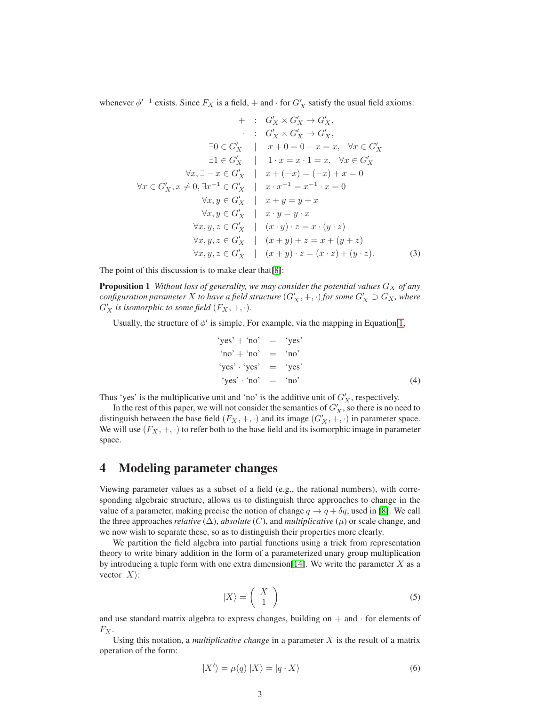whenever  $\phi'^{-1}$  exists. Since  $F_X$  is a field,  $+$  and  $\cdot$  for  $G'_X$  satisfy the usual field axioms:

$$
+ : G'_X \times G'_X \rightarrow G'_X,
$$
  
\n
$$
: G'_X \times G'_X \rightarrow G'_X,
$$
  
\n
$$
\exists 0 \in G'_X \mid x+0 = 0 + x = x, \forall x \in G'_X
$$
  
\n
$$
\exists 1 \in G'_X \mid 1 \cdot x = x \cdot 1 = x, \forall x \in G'_X
$$
  
\n
$$
\forall x, \exists -x \in G'_X \mid x + (-x) = (-x) + x = 0
$$
  
\n
$$
\forall x \in G'_X, x \neq 0, \exists x^{-1} \in G'_X \mid x \cdot x^{-1} = x^{-1} \cdot x = 0
$$
  
\n
$$
\forall x, y \in G'_X \mid x + y = y + x
$$
  
\n
$$
\forall x, y, z \in G'_X \mid (x \cdot y) \cdot z = x \cdot (y \cdot z)
$$
  
\n
$$
\forall x, y, z \in G'_X \mid (x + y) + z = x + (y + z)
$$
  
\n
$$
\forall x, y, z \in G'_X \mid (x + y) \cdot z = (x \cdot z) + (y \cdot z).
$$
  
\n(3)

The point of this discussion is to make clear that[\[8\]](#page-16-4):

**Proposition 1** *Without loss of generality, we may consider the potential values*  $G_X$  *of any*  $\emph{configuration parameter $X$ to have a field structure $(G'_X, +, \cdot)$ for some $G'_X \supset G_X$, where $G'_X \supset G_X$ is a finite number of elements of $G'_X$.}$  $G'_{X}$  is isomorphic to some field  $(F_{X}, +, \cdot).$ 

Usually, the structure of  $\phi'$  is simple. For example, via the mapping in Equation [1,](#page-1-0)

$$
"yes' + "no' = "yes'"no' + "no' = "no'"yes' · "yes' = "yes'"yes' · "no' = "no' (4)
$$

Thus 'yes' is the multiplicative unit and 'no' is the additive unit of  $G'_X$ , respectively.

In the rest of this paper, we will not consider the semantics of  $G_X'$ , so there is no need to distinguish between the base field  $(F_X, +, \cdot)$  and its image  $(G'_X, +, \cdot)$  in parameter space. We will use  $(F_X, +, \cdot)$  to refer both to the base field and its isomorphic image in parameter space.

#### <span id="page-2-0"></span>4 Modeling parameter changes

Viewing parameter values as a subset of a field (e.g., the rational numbers), with corresponding algebraic structure, allows us to distinguish three approaches to change in the value of a parameter, making precise the notion of change  $q \to q + \delta q$ , used in [\[8\]](#page-16-4). We call the three approaches *relative*  $(\Delta)$ , *absolute*  $(C)$ , and *multiplicative*  $(\mu)$  or scale change, and we now wish to separate these, so as to distinguish their properties more clearly.

We partition the field algebra into partial functions using a trick from representation theory to write binary addition in the form of a parameterized unary group multiplication by introducing a tuple form with one extra dimension[\[14\]](#page-16-10). We write the parameter X as a vector  $|X\rangle$ :

$$
|X\rangle = \left(\begin{array}{c} X \\ 1 \end{array}\right) \tag{5}
$$

and use standard matrix algebra to express changes, building on  $+$  and  $\cdot$  for elements of  $F_X$ .

Using this notation, a *multiplicative change* in a parameter X is the result of a matrix operation of the form:

$$
|X'\rangle = \mu(q) |X\rangle = |q \cdot X\rangle \tag{6}
$$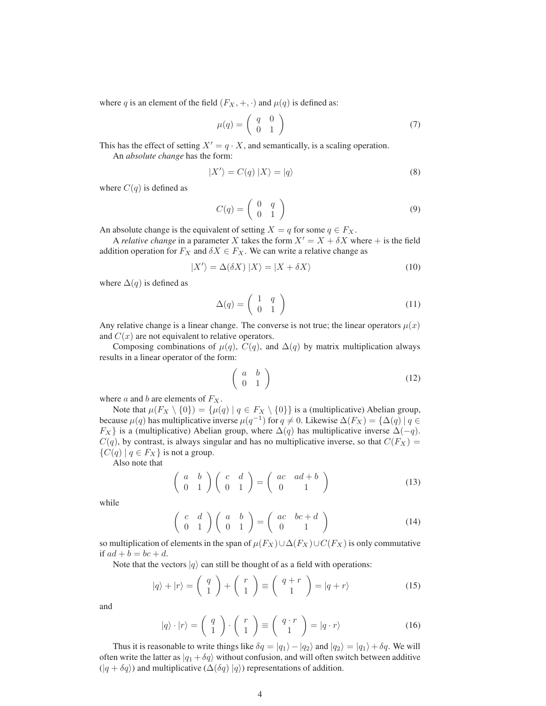where q is an element of the field  $(F_X, +, \cdot)$  and  $\mu(q)$  is defined as:

$$
\mu(q) = \left(\begin{array}{cc} q & 0 \\ 0 & 1 \end{array}\right) \tag{7}
$$

This has the effect of setting  $X' = q \cdot X$ , and semantically, is a scaling operation.

An *absolute change* has the form:

$$
|X'\rangle = C(q) |X\rangle = |q\rangle \tag{8}
$$

where  $C(q)$  is defined as

$$
C(q) = \left(\begin{array}{cc} 0 & q \\ 0 & 1 \end{array}\right) \tag{9}
$$

An absolute change is the equivalent of setting  $X = q$  for some  $q \in F_X$ .

A *relative change* in a parameter X takes the form  $X' = X + \delta X$  where + is the field addition operation for  $F_X$  and  $\delta X \in F_X$ . We can write a relative change as

$$
|X'\rangle = \Delta(\delta X) |X\rangle = |X + \delta X\rangle
$$
 (10)

where  $\Delta(q)$  is defined as

$$
\Delta(q) = \left(\begin{array}{cc} 1 & q \\ 0 & 1 \end{array}\right) \tag{11}
$$

Any relative change is a linear change. The converse is not true; the linear operators  $\mu(x)$ and  $C(x)$  are not equivalent to relative operators.

Composing combinations of  $\mu(q)$ ,  $C(q)$ , and  $\Delta(q)$  by matrix multiplication always results in a linear operator of the form:

$$
\left(\begin{array}{cc} a & b \\ 0 & 1 \end{array}\right) \tag{12}
$$

where  $a$  and  $b$  are elements of  $F_X$ .

Note that  $\mu(F_X \setminus \{0\}) = {\mu(q) | q \in F_X \setminus \{0\}}$  is a (multiplicative) Abelian group, because  $\mu(q)$  has multiplicative inverse  $\mu(q^{-1})$  for  $q \neq 0$ . Likewise  $\Delta(F_X) = {\Delta(q) | q \in \mathbb{R}^d}$  $F_X$ } is a (multiplicative) Abelian group, where  $\Delta(q)$  has multiplicative inverse  $\Delta(-q)$ .  $C(q)$ , by contrast, is always singular and has no multiplicative inverse, so that  $C(F_X)$  =  $\{C(q) | q \in F_X\}$  is not a group.

Also note that

$$
\left(\begin{array}{cc} a & b \\ 0 & 1 \end{array}\right) \left(\begin{array}{cc} c & d \\ 0 & 1 \end{array}\right) = \left(\begin{array}{cc} ac & ad+b \\ 0 & 1 \end{array}\right) \tag{13}
$$

while

$$
\left(\begin{array}{cc} c & d \\ 0 & 1 \end{array}\right) \left(\begin{array}{cc} a & b \\ 0 & 1 \end{array}\right) = \left(\begin{array}{cc} ac & bc+d \\ 0 & 1 \end{array}\right) \tag{14}
$$

so multiplication of elements in the span of  $\mu(F_X) \cup \Delta(F_X) \cup C(F_X)$  is only commutative if  $ad + b = bc + d$ .

Note that the vectors  $|q\rangle$  can still be thought of as a field with operations:

$$
|q\rangle + |r\rangle = \begin{pmatrix} q \\ 1 \end{pmatrix} + \begin{pmatrix} r \\ 1 \end{pmatrix} \equiv \begin{pmatrix} q+r \\ 1 \end{pmatrix} = |q+r\rangle \tag{15}
$$

and

$$
|q\rangle \cdot |r\rangle = \begin{pmatrix} q \\ 1 \end{pmatrix} \cdot \begin{pmatrix} r \\ 1 \end{pmatrix} \equiv \begin{pmatrix} q \cdot r \\ 1 \end{pmatrix} = |q \cdot r\rangle \tag{16}
$$

Thus it is reasonable to write things like  $\delta q = |q_1\rangle - |q_2\rangle$  and  $|q_2\rangle = |q_1\rangle + \delta q$ . We will often write the latter as  $|q_1 + \delta q\rangle$  without confusion, and will often switch between additive  $(|q + \delta q\rangle)$  and multiplicative  $(\Delta(\delta q) |q\rangle)$  representations of addition.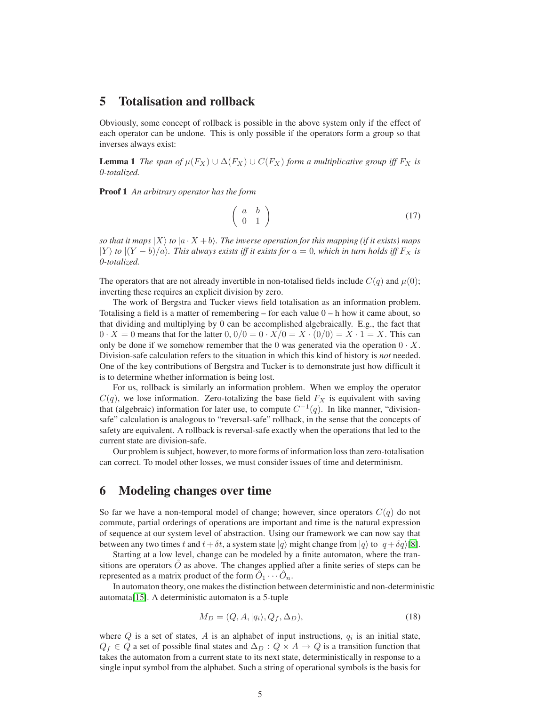#### 5 Totalisation and rollback

Obviously, some concept of rollback is possible in the above system only if the effect of each operator can be undone. This is only possible if the operators form a group so that inverses always exist:

**Lemma 1** *The span of*  $\mu(F_X) \cup \Delta(F_X) \cup C(F_X)$  *form a multiplicative group iff*  $F_X$  *is 0-totalized.*

Proof 1 *An arbitrary operator has the form*

$$
\left(\begin{array}{cc} a & b \\ 0 & 1 \end{array}\right) \tag{17}
$$

*so that it maps*  $|X\rangle$  *to*  $|a \cdot X + b\rangle$ *. The inverse operation for this mapping (if it exists) maps*  $|Y\rangle$  to  $|(Y - b)/a\rangle$ . This always exists iff it exists for  $a = 0$ , which in turn holds iff  $F_X$  is *0-totalized.*

The operators that are not already invertible in non-totalised fields include  $C(q)$  and  $\mu(0)$ ; inverting these requires an explicit division by zero.

The work of Bergstra and Tucker views field totalisation as an information problem. Totalising a field is a matter of remembering – for each value  $0 - h$  how it came about, so that dividing and multiplying by 0 can be accomplished algebraically. E.g., the fact that  $0 \cdot X = 0$  means that for the latter  $0, 0/0 = 0 \cdot X/0 = X \cdot (0/0) = X \cdot 1 = X$ . This can only be done if we somehow remember that the 0 was generated via the operation  $0 \cdot X$ . Division-safe calculation refers to the situation in which this kind of history is *not* needed. One of the key contributions of Bergstra and Tucker is to demonstrate just how difficult it is to determine whether information is being lost.

For us, rollback is similarly an information problem. When we employ the operator  $C(q)$ , we lose information. Zero-totalizing the base field  $F<sub>X</sub>$  is equivalent with saving that (algebraic) information for later use, to compute  $C^{-1}(q)$ . In like manner, "divisionsafe" calculation is analogous to "reversal-safe" rollback, in the sense that the concepts of safety are equivalent. A rollback is reversal-safe exactly when the operations that led to the current state are division-safe.

Our problem is subject, however, to more forms of information loss than zero-totalisation can correct. To model other losses, we must consider issues of time and determinism.

#### 6 Modeling changes over time

So far we have a non-temporal model of change; however, since operators  $C(q)$  do not commute, partial orderings of operations are important and time is the natural expression of sequence at our system level of abstraction. Using our framework we can now say that between any two times t and  $t + \delta t$ , a system state  $|q\rangle$  might change from  $|q\rangle$  to  $|q + \delta q\rangle$ [\[8\]](#page-16-4).

Starting at a low level, change can be modeled by a finite automaton, where the transitions are operators  $\hat{O}$  as above. The changes applied after a finite series of steps can be represented as a matrix product of the form  $\hat{O}_1 \cdots \hat{O}_n$ .

In automaton theory, one makes the distinction between deterministic and non-deterministic automata[\[15\]](#page-16-11). A deterministic automaton is a 5-tuple

$$
M_D = (Q, A, |q_i\rangle, Q_f, \Delta_D),\tag{18}
$$

where  $Q$  is a set of states,  $A$  is an alphabet of input instructions,  $q_i$  is an initial state,  $Q_f \in Q$  a set of possible final states and  $\Delta_D$  :  $Q \times A \rightarrow Q$  is a transition function that takes the automaton from a current state to its next state, deterministically in response to a single input symbol from the alphabet. Such a string of operational symbols is the basis for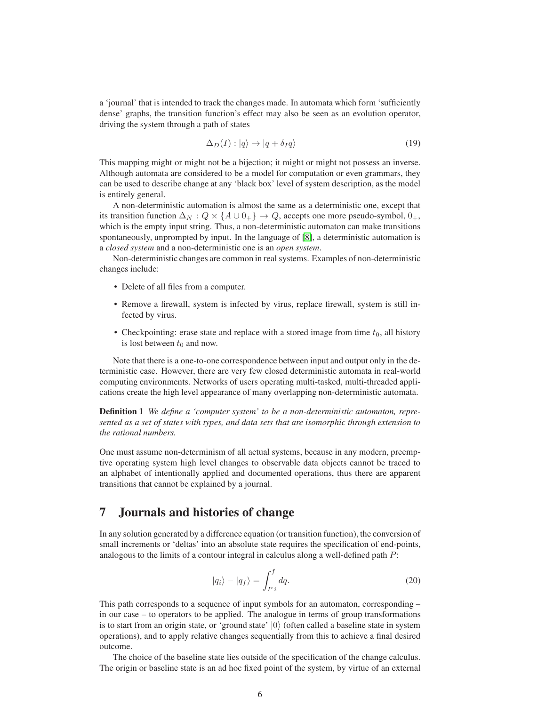a 'journal' that is intended to track the changes made. In automata which form 'sufficiently dense' graphs, the transition function's effect may also be seen as an evolution operator, driving the system through a path of states

$$
\Delta_D(I): |q\rangle \to |q + \delta_I q\rangle \tag{19}
$$

This mapping might or might not be a bijection; it might or might not possess an inverse. Although automata are considered to be a model for computation or even grammars, they can be used to describe change at any 'black box' level of system description, as the model is entirely general.

A non-deterministic automation is almost the same as a deterministic one, except that its transition function  $\Delta_N$  :  $Q \times \{A \cup 0_+\} \to Q$ , accepts one more pseudo-symbol,  $0_+$ , which is the empty input string. Thus, a non-deterministic automaton can make transitions spontaneously, unprompted by input. In the language of [\[8\]](#page-16-4), a deterministic automation is a *closed system* and a non-deterministic one is an *open system*.

Non-deterministic changes are common in real systems. Examples of non-deterministic changes include:

- Delete of all files from a computer.
- Remove a firewall, system is infected by virus, replace firewall, system is still infected by virus.
- Checkpointing: erase state and replace with a stored image from time  $t_0$ , all history is lost between  $t_0$  and now.

Note that there is a one-to-one correspondence between input and output only in the deterministic case. However, there are very few closed deterministic automata in real-world computing environments. Networks of users operating multi-tasked, multi-threaded applications create the high level appearance of many overlapping non-deterministic automata.

Definition 1 *We define a 'computer system' to be a non-deterministic automaton, represented as a set of states with types, and data sets that are isomorphic through extension to the rational numbers.*

One must assume non-determinism of all actual systems, because in any modern, preemptive operating system high level changes to observable data objects cannot be traced to an alphabet of intentionally applied and documented operations, thus there are apparent transitions that cannot be explained by a journal.

# 7 Journals and histories of change

In any solution generated by a difference equation (or transition function), the conversion of small increments or 'deltas' into an absolute state requires the specification of end-points, analogous to the limits of a contour integral in calculus along a well-defined path P:

$$
|q_i\rangle - |q_f\rangle = \int_{P_i}^{f} dq.
$$
 (20)

This path corresponds to a sequence of input symbols for an automaton, corresponding – in our case – to operators to be applied. The analogue in terms of group transformations is to start from an origin state, or 'ground state'  $|0\rangle$  (often called a baseline state in system operations), and to apply relative changes sequentially from this to achieve a final desired outcome.

The choice of the baseline state lies outside of the specification of the change calculus. The origin or baseline state is an ad hoc fixed point of the system, by virtue of an external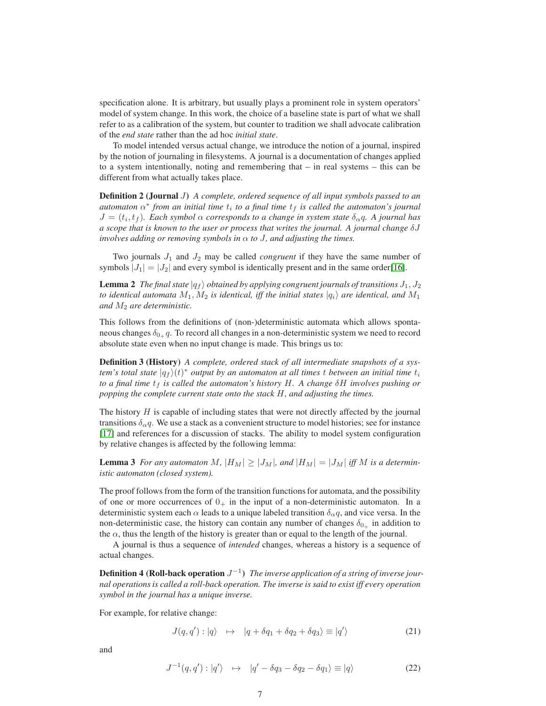specification alone. It is arbitrary, but usually plays a prominent role in system operators' model of system change. In this work, the choice of a baseline state is part of what we shall refer to as a calibration of the system, but counter to tradition we shall advocate calibration of the *end state* rather than the ad hoc *initial state*.

To model intended versus actual change, we introduce the notion of a journal, inspired by the notion of journaling in filesystems. A journal is a documentation of changes applied to a system intentionally, noting and remembering that  $-$  in real systems  $-$  this can be different from what actually takes place.

Definition 2 (Journal J) *A complete, ordered sequence of all input symbols passed to an*  $a$ utomaton  $\alpha^*$  from an initial time  $t_i$  to a final time  $t_f$  is called the automaton's journal  $J = (t_i, t_f)$ . Each symbol  $\alpha$  corresponds to a change in system state  $\delta_{\alpha}q$ . A journal has *a scope that is known to the user or process that writes the journal. A journal change* δJ *involves adding or removing symbols in*  $\alpha$  *to J*, and adjusting the times.

Two journals  $J_1$  and  $J_2$  may be called *congruent* if they have the same number of symbols  $|J_1| = |J_2|$  and every symbol is identically present and in the same order[\[16\]](#page-16-12).

**Lemma 2** *The final state*  $|q_f\rangle$  *obtained by applying congruent journals of transitions*  $J_1, J_2$ *to identical automata*  $M_1, M_2$  *is identical, iff the initial states*  $|q_i\rangle$  *are identical, and*  $M_1$ *and* M<sup>2</sup> *are deterministic.*

This follows from the definitions of (non-)deterministic automata which allows spontaneous changes  $\delta_{0+} q$ . To record all changes in a non-deterministic system we need to record absolute state even when no input change is made. This brings us to:

Definition 3 (History) *A complete, ordered stack of all intermediate snapshots of a system's total state*  $|q_f\rangle(t)^*$  *output by an automaton at all times*  $t$  *between an initial time*  $t_i$ *to a final time* t<sup>f</sup> *is called the automaton's history* H*. A change* δH *involves pushing or popping the complete current state onto the stack* H*, and adjusting the times.*

The history  $H$  is capable of including states that were not directly affected by the journal transitions  $\delta_{\alpha}q$ . We use a stack as a convenient structure to model histories; see for instance [\[17\]](#page-16-13) and references for a discussion of stacks. The ability to model system configuration by relative changes is affected by the following lemma:

**Lemma 3** For any automaton M,  $|H_M| \geq |J_M|$ , and  $|H_M| = |J_M|$  iff M is a determin*istic automaton (closed system).*

The proof follows from the form of the transition functions for automata, and the possibility of one or more occurrences of  $0_+$  in the input of a non-deterministic automaton. In a deterministic system each  $\alpha$  leads to a unique labeled transition  $\delta_{\alpha}q$ , and vice versa. In the non-deterministic case, the history can contain any number of changes  $\delta_{0+}$  in addition to the  $\alpha$ , thus the length of the history is greater than or equal to the length of the journal.

A journal is thus a sequence of *intended* changes, whereas a history is a sequence of actual changes.

**Definition 4 (Roll-back operation**  $J^{-1}$ ) The inverse application of a string of inverse jour*nal operations is called a roll-back operation. The inverse is said to exist iff every operation symbol in the journal has a unique inverse.*

For example, for relative change:

$$
J(q, q') : |q\rangle \quad \mapsto \quad |q + \delta q_1 + \delta q_2 + \delta q_3\rangle \equiv |q'\rangle \tag{21}
$$

and

$$
J^{-1}(q, q') : |q'\rangle \quad \mapsto \quad |q' - \delta q_3 - \delta q_2 - \delta q_1\rangle \equiv |q\rangle \tag{22}
$$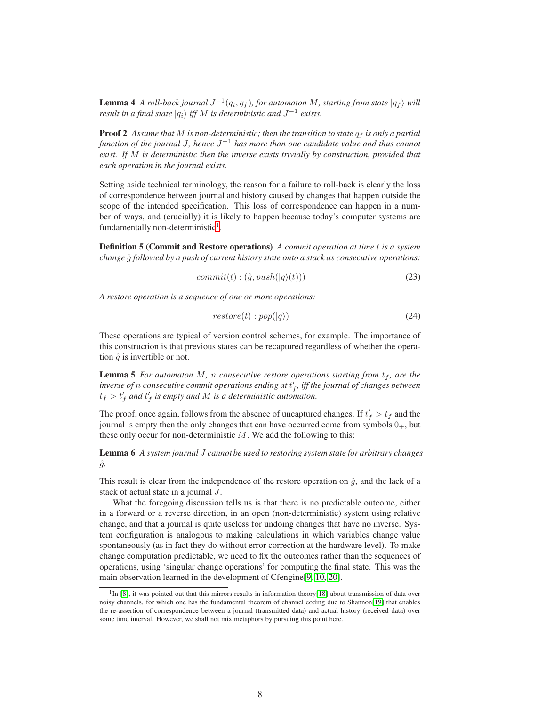**Lemma 4** A roll-back journal  $J^{-1}(q_i, q_f)$ , for automaton M, starting from state  $|q_f\rangle$  will *result in a final state*  $|q_i\rangle$  *iff* M *is deterministic and*  $J^{-1}$  *exists.* 

**Proof 2** Assume that M is non-deterministic; then the transition to state  $q_f$  is only a partial *function of the journal* J*, hence* J <sup>−</sup><sup>1</sup> *has more than one candidate value and thus cannot exist. If* M *is deterministic then the inverse exists trivially by construction, provided that each operation in the journal exists.*

Setting aside technical terminology, the reason for a failure to roll-back is clearly the loss of correspondence between journal and history caused by changes that happen outside the scope of the intended specification. This loss of correspondence can happen in a number of ways, and (crucially) it is likely to happen because today's computer systems are fundamentally non-deterministic<sup>[1](#page-7-0)</sup>.

Definition 5 (Commit and Restore operations) *A commit operation at time* t *is a system change*  $\hat{g}$  *followed by a push of current history state onto a stack as consecutive operations:* 

$$
commit(t) : (\hat{g}, push(|q\rangle(t))) \tag{23}
$$

*A restore operation is a sequence of one or more operations:*

$$
restore(t): pop(|q\rangle)
$$
\n(24)

These operations are typical of version control schemes, for example. The importance of this construction is that previous states can be recaptured regardless of whether the operation  $\hat{q}$  is invertible or not.

**Lemma 5** *For automaton*  $M$ , *n consecutive restore operations starting from*  $t_f$ , *are the inverse of* n *consecutive commit operations ending at* t ′ f *, iff the journal of changes between*  $t_f > t'_f$  and  $t'_f$  is empty and M is a deterministic automaton.

The proof, once again, follows from the absence of uncaptured changes. If  $t'_{f} > t_{f}$  and the journal is empty then the only changes that can have occurred come from symbols  $0_+$ , but these only occur for non-deterministic  $M$ . We add the following to this:

Lemma 6 *A system journal* J *cannot be used to restoring system state for arbitrary changes*  $\hat{g}$ .

This result is clear from the independence of the restore operation on  $\hat{q}$ , and the lack of a stack of actual state in a journal J.

What the foregoing discussion tells us is that there is no predictable outcome, either in a forward or a reverse direction, in an open (non-deterministic) system using relative change, and that a journal is quite useless for undoing changes that have no inverse. System configuration is analogous to making calculations in which variables change value spontaneously (as in fact they do without error correction at the hardware level). To make change computation predictable, we need to fix the outcomes rather than the sequences of operations, using 'singular change operations' for computing the final state. This was the main observation learned in the development of Cfengine[\[9,](#page-16-5) [10,](#page-16-6) [20\]](#page-16-14).

<span id="page-7-0"></span><sup>&</sup>lt;sup>1</sup>In [\[8\]](#page-16-4), it was pointed out that this mirrors results in information theory[\[18\]](#page-16-15) about transmission of data over noisy channels, for which one has the fundamental theorem of channel coding due to Shannon[\[19\]](#page-16-16) that enables the re-assertion of correspondence between a journal (transmitted data) and actual history (received data) over some time interval. However, we shall not mix metaphors by pursuing this point here.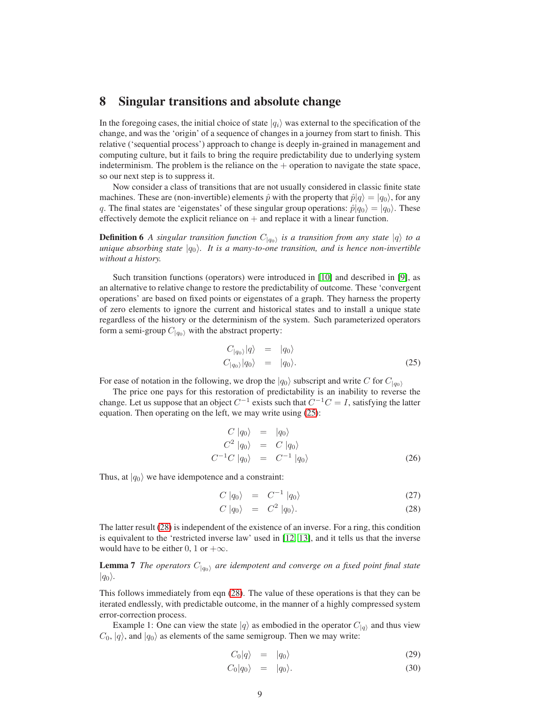#### 8 Singular transitions and absolute change

In the foregoing cases, the initial choice of state  $|q_i\rangle$  was external to the specification of the change, and was the 'origin' of a sequence of changes in a journey from start to finish. This relative ('sequential process') approach to change is deeply in-grained in management and computing culture, but it fails to bring the require predictability due to underlying system indeterminism. The problem is the reliance on the  $+$  operation to navigate the state space, so our next step is to suppress it.

Now consider a class of transitions that are not usually considered in classic finite state machines. These are (non-invertible) elements  $\hat{p}$  with the property that  $\hat{p}|q\rangle = |q_0\rangle$ , for any q. The final states are 'eigenstates' of these singular group operations:  $\hat{p}|q_0\rangle = |q_0\rangle$ . These effectively demote the explicit reliance on  $+$  and replace it with a linear function.

**Definition 6** A singular transition function  $C_{|q_0\rangle}$  is a transition from any state  $|q\rangle$  to a *unique absorbing state*  $|q_0\rangle$ *. It is a many-to-one transition, and is hence non-invertible without a history.*

Such transition functions (operators) were introduced in [\[10\]](#page-16-6) and described in [\[9\]](#page-16-5), as an alternative to relative change to restore the predictability of outcome. These 'convergent operations' are based on fixed points or eigenstates of a graph. They harness the property of zero elements to ignore the current and historical states and to install a unique state regardless of the history or the determinism of the system. Such parameterized operators form a semi-group  $C_{|q_0\rangle}$  with the abstract property:

<span id="page-8-0"></span>
$$
C_{|q_0\rangle}|q\rangle = |q_0\rangle
$$
  
\n
$$
C_{|q_0\rangle}|q_0\rangle = |q_0\rangle.
$$
 (25)

For ease of notation in the following, we drop the  $|q_0\rangle$  subscript and write C for  $C_{|q_0\rangle}$ 

The price one pays for this restoration of predictability is an inability to reverse the change. Let us suppose that an object  $C^{-1}$  exists such that  $C^{-1}C = I$ , satisfying the latter equation. Then operating on the left, we may write using [\(25\)](#page-8-0):

$$
C |q_0\rangle = |q_0\rangle
$$
  
\n
$$
C^2 |q_0\rangle = C |q_0\rangle
$$
  
\n
$$
C^{-1}C |q_0\rangle = C^{-1} |q_0\rangle
$$
 (26)

Thus, at  $|q_0\rangle$  we have idempotence and a constraint:

<span id="page-8-1"></span>
$$
C |q_0\rangle = C^{-1} |q_0\rangle \tag{27}
$$

$$
C |q_0\rangle = C^2 |q_0\rangle. \tag{28}
$$

The latter result [\(28\)](#page-8-1) is independent of the existence of an inverse. For a ring, this condition is equivalent to the 'restricted inverse law' used in [\[12,](#page-16-8) [13\]](#page-16-9), and it tells us that the inverse would have to be either 0, 1 or  $+\infty$ .

**Lemma 7** *The operators*  $C_{|q_0\rangle}$  *are idempotent and converge on a fixed point final state*  $|q_0\rangle$ .

This follows immediately from eqn [\(28\)](#page-8-1). The value of these operations is that they can be iterated endlessly, with predictable outcome, in the manner of a highly compressed system error-correction process.

Example 1: One can view the state  $|q\rangle$  as embodied in the operator  $C_{|q\rangle}$  and thus view  $C_0$ ,  $|q\rangle$ , and  $|q_0\rangle$  as elements of the same semigroup. Then we may write:

<span id="page-8-2"></span>
$$
C_0|q\rangle = |q_0\rangle \tag{29}
$$

$$
C_0|q_0\rangle = |q_0\rangle. \tag{30}
$$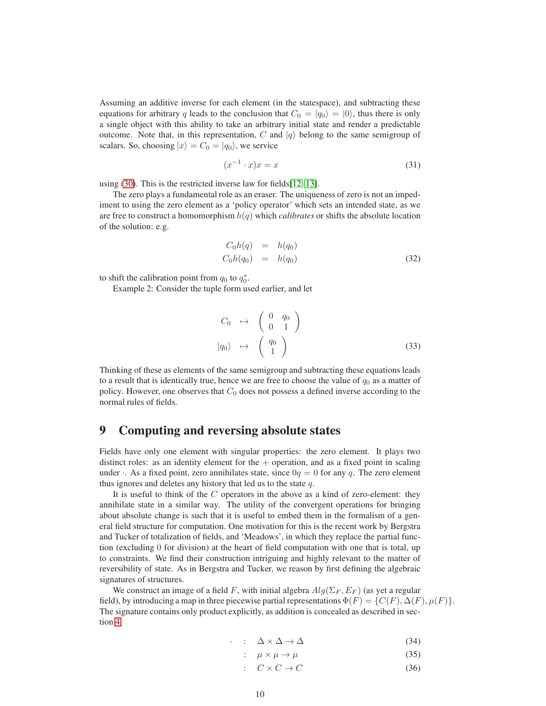Assuming an additive inverse for each element (in the statespace), and subtracting these equations for arbitrary q leads to the conclusion that  $C_0 = |q_0\rangle = |0\rangle$ , thus there is only a single object with this ability to take an arbitrary initial state and render a predictable outcome. Note that, in this representation, C and  $|q\rangle$  belong to the same semigroup of scalars. So, choosing  $|x\rangle = C_0 = |q_0\rangle$ , we service

$$
(x^{-1} \cdot x)x = x \tag{31}
$$

using [\(30\)](#page-8-2). This is the restricted inverse law for fields[\[12,](#page-16-8) [13\]](#page-16-9).

The zero plays a fundamental role as an eraser. The uniqueness of zero is not an impediment to using the zero element as a 'policy operator' which sets an intended state, as we are free to construct a homomorphism  $h(q)$  which *calibrates* or shifts the absolute location of the solution: e.g.

<span id="page-9-1"></span>
$$
C_0 h(q) = h(q_0)
$$
  
\n
$$
C_0 h(q_0) = h(q_0)
$$
\n(32)

to shift the calibration point from  $q_0$  to  $q_0^*$ .

Example 2: Consider the tuple form used earlier, and let

<span id="page-9-0"></span>
$$
C_0 \rightarrow \begin{pmatrix} 0 & q_0 \\ 0 & 1 \end{pmatrix}
$$
  

$$
|q_0\rangle \rightarrow \begin{pmatrix} q_0 \\ 1 \end{pmatrix}
$$
 (33)

Thinking of these as elements of the same semigroup and subtracting these equations leads to a result that is identically true, hence we are free to choose the value of  $q_0$  as a matter of policy. However, one observes that  $C_0$  does not possess a defined inverse according to the normal rules of fields.

# 9 Computing and reversing absolute states

Fields have only one element with singular properties: the zero element. It plays two distinct roles: as an identity element for the  $+$  operation, and as a fixed point in scaling under  $\cdot$ . As a fixed point, zero annihilates state, since  $0q = 0$  for any q. The zero element thus ignores and deletes any history that led us to the state  $q$ .

It is useful to think of the  $C$  operators in the above as a kind of zero-element: they annihilate state in a similar way. The utility of the convergent operations for bringing about absolute change is such that it is useful to embed them in the formalism of a general field structure for computation. One motivation for this is the recent work by Bergstra and Tucker of totalization of fields, and 'Meadows', in which they replace the partial function (excluding 0 for division) at the heart of field computation with one that is total, up to constraints. We find their construction intriguing and highly relevant to the matter of reversibility of state. As in Bergstra and Tucker, we reason by first defining the algebraic signatures of structures.

We construct an image of a field F, with initial algebra  $Alg(\Sigma_F, E_F)$  (as yet a regular field), by introducing a map in three piecewise partial representations  $\Phi(F) = \{C(F), \Delta(F), \mu(F)\}.$ The signature contains only product explicitly, as addition is concealed as described in section [4:](#page-2-0)

$$
\cdot \quad : \quad \Delta \times \Delta \to \Delta \tag{34}
$$

$$
\colon \quad \mu \times \mu \to \mu \tag{35}
$$

$$
\therefore C \times C \to C \tag{36}
$$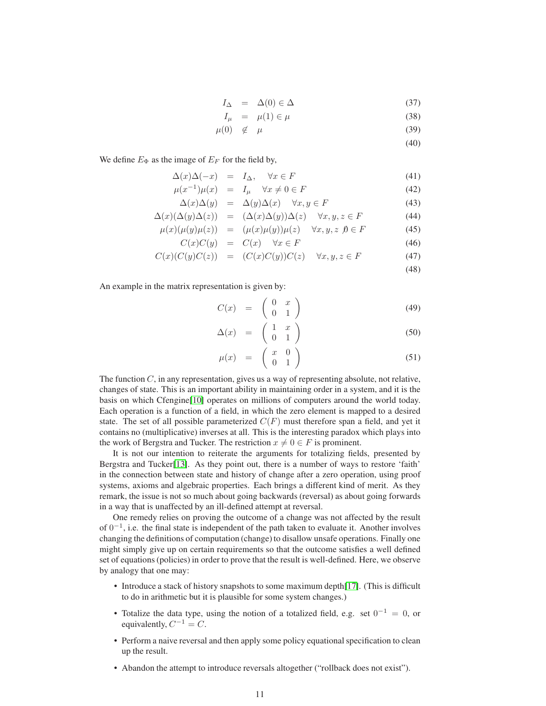$$
I_{\Delta} = \Delta(0) \in \Delta \tag{37}
$$

$$
I_{\mu} = \mu(1) \in \mu \tag{38}
$$

 $\mu(0) \notin \mu$  (39)

$$
f_{\rm{max}}(x)=\frac{1}{2}x
$$

We define  $E_{\Phi}$  as the image of  $E_F$  for the field by,

$$
\Delta(x)\Delta(-x) = I_{\Delta}, \quad \forall x \in F \tag{41}
$$

$$
\mu(x^{-1})\mu(x) = I_{\mu} \quad \forall x \neq 0 \in F \tag{42}
$$

$$
\Delta(x)\Delta(y) = \Delta(y)\Delta(x) \quad \forall x, y \in F \tag{43}
$$

$$
\Delta(x)(\Delta(y)\Delta(z)) = (\Delta(x)\Delta(y))\Delta(z) \quad \forall x, y, z \in F \tag{44}
$$

$$
\mu(x)(\mu(y)\mu(z)) = (\mu(x)\mu(y))\mu(z) \quad \forall x, y, z \ \emptyset \in F \tag{45}
$$

$$
C(x)C(y) = C(x) \quad \forall x \in F \tag{46}
$$

$$
C(x)(C(y)C(z)) = (C(x)C(y))C(z) \quad \forall x, y, z \in F \tag{47}
$$

(48)

(40)

An example in the matrix representation is given by:

$$
C(x) = \begin{pmatrix} 0 & x \\ 0 & 1 \end{pmatrix} \tag{49}
$$

$$
\Delta(x) = \begin{pmatrix} 1 & x \\ 0 & 1 \end{pmatrix} \tag{50}
$$

$$
\mu(x) = \begin{pmatrix} x & 0 \\ 0 & 1 \end{pmatrix} \tag{51}
$$

The function  $C$ , in any representation, gives us a way of representing absolute, not relative, changes of state. This is an important ability in maintaining order in a system, and it is the basis on which Cfengine[\[10\]](#page-16-6) operates on millions of computers around the world today. Each operation is a function of a field, in which the zero element is mapped to a desired state. The set of all possible parameterized  $C(F)$  must therefore span a field, and yet it contains no (multiplicative) inverses at all. This is the interesting paradox which plays into the work of Bergstra and Tucker. The restriction  $x \neq 0 \in F$  is prominent.

It is not our intention to reiterate the arguments for totalizing fields, presented by Bergstra and Tucker[\[13\]](#page-16-9). As they point out, there is a number of ways to restore 'faith' in the connection between state and history of change after a zero operation, using proof systems, axioms and algebraic properties. Each brings a different kind of merit. As they remark, the issue is not so much about going backwards (reversal) as about going forwards in a way that is unaffected by an ill-defined attempt at reversal.

One remedy relies on proving the outcome of a change was not affected by the result of  $0^{-1}$ , i.e. the final state is independent of the path taken to evaluate it. Another involves changing the definitions of computation (change) to disallow unsafe operations. Finally one might simply give up on certain requirements so that the outcome satisfies a well defined set of equations (policies) in order to prove that the result is well-defined. Here, we observe by analogy that one may:

- Introduce a stack of history snapshots to some maximum depth[\[17\]](#page-16-13). (This is difficult to do in arithmetic but it is plausible for some system changes.)
- Totalize the data type, using the notion of a totalized field, e.g. set  $0^{-1} = 0$ , or equivalently,  $C^{-1} = C$ .
- Perform a naive reversal and then apply some policy equational specification to clean up the result.
- Abandon the attempt to introduce reversals altogether ("rollback does not exist").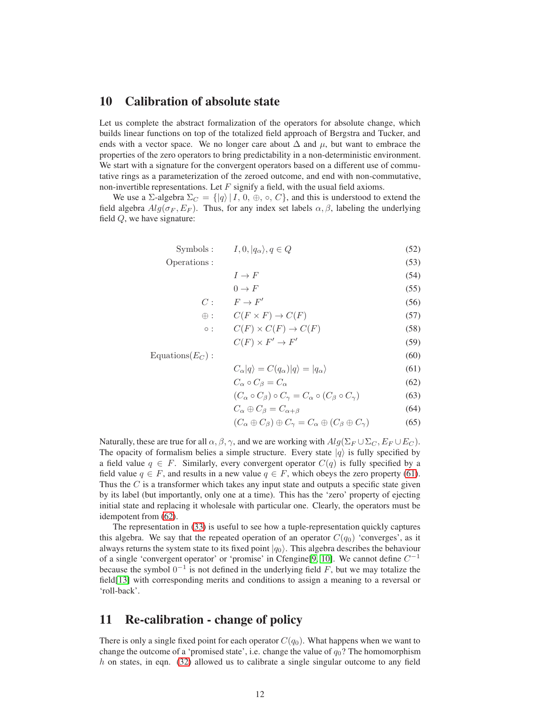# 10 Calibration of absolute state

Let us complete the abstract formalization of the operators for absolute change, which builds linear functions on top of the totalized field approach of Bergstra and Tucker, and ends with a vector space. We no longer care about  $\Delta$  and  $\mu$ , but want to embrace the properties of the zero operators to bring predictability in a non-deterministic environment. We start with a signature for the convergent operators based on a different use of commutative rings as a parameterization of the zeroed outcome, and end with non-commutative, non-invertible representations. Let  $F$  signify a field, with the usual field axioms.

We use a Σ-algebra  $\Sigma_C = \{ |q\rangle | I, 0, \oplus, \circ, C \}$ , and this is understood to extend the field algebra  $Alg(\sigma_F, E_F)$ . Thus, for any index set labels  $\alpha, \beta$ , labeling the underlying field  $Q$ , we have signature:

<span id="page-11-0"></span>
$$
Symbols: \tI, 0, |q_{\alpha}\rangle, q \in Q \t(52)
$$

Operations : (53)

$$
I \to F \tag{54}
$$

$$
0 \to F \tag{55}
$$

$$
C: \qquad F \to F' \tag{56}
$$

$$
\oplus: C(F \times F) \to C(F) \tag{57}
$$

$$
\circ: \qquad C(F) \times C(F) \to C(F) \tag{58}
$$

$$
C(F) \times F' \to F'
$$
 (59)

 $\text{Equations}(E_C)$ : (60)

$$
C_{\alpha}|q\rangle = C(q_{\alpha})|q\rangle = |q_{\alpha}\rangle \tag{61}
$$

$$
C_{\alpha} \circ C_{\beta} = C_{\alpha} \tag{62}
$$

$$
(C_{\alpha} \circ C_{\beta}) \circ C_{\gamma} = C_{\alpha} \circ (C_{\beta} \circ C_{\gamma}) \tag{63}
$$

$$
C_{\alpha} \oplus C_{\beta} = C_{\alpha + \beta} \tag{64}
$$

$$
(C_{\alpha} \oplus C_{\beta}) \oplus C_{\gamma} = C_{\alpha} \oplus (C_{\beta} \oplus C_{\gamma})
$$
 (65)

Naturally, these are true for all  $\alpha, \beta, \gamma$ , and we are working with  $Alg(\Sigma_F \cup \Sigma_C, E_F \cup E_C)$ . The opacity of formalism belies a simple structure. Every state  $|q\rangle$  is fully specified by a field value  $q \in F$ . Similarly, every convergent operator  $C(q)$  is fully specified by a field value  $q \in F$ , and results in a new value  $q \in F$ , which obeys the zero property [\(61\)](#page-11-0). Thus the  $C$  is a transformer which takes any input state and outputs a specific state given by its label (but importantly, only one at a time). This has the 'zero' property of ejecting initial state and replacing it wholesale with particular one. Clearly, the operators must be idempotent from [\(62\)](#page-11-0).

The representation in [\(33\)](#page-9-0) is useful to see how a tuple-representation quickly captures this algebra. We say that the repeated operation of an operator  $C(q_0)$  'converges', as it always returns the system state to its fixed point  $|q_0\rangle$ . This algebra describes the behaviour of a single 'convergent operator' or 'promise' in Cfengine[\[9,](#page-16-5) [10\]](#page-16-6). We cannot define  $C^{-1}$ because the symbol  $0^{-1}$  is not defined in the underlying field F, but we may totalize the field[\[13\]](#page-16-9) with corresponding merits and conditions to assign a meaning to a reversal or 'roll-back'.

# 11 Re-calibration - change of policy

There is only a single fixed point for each operator  $C(q_0)$ . What happens when we want to change the outcome of a 'promised state', i.e. change the value of  $q_0$ ? The homomorphism  $h$  on states, in eqn. [\(32\)](#page-9-1) allowed us to calibrate a single singular outcome to any field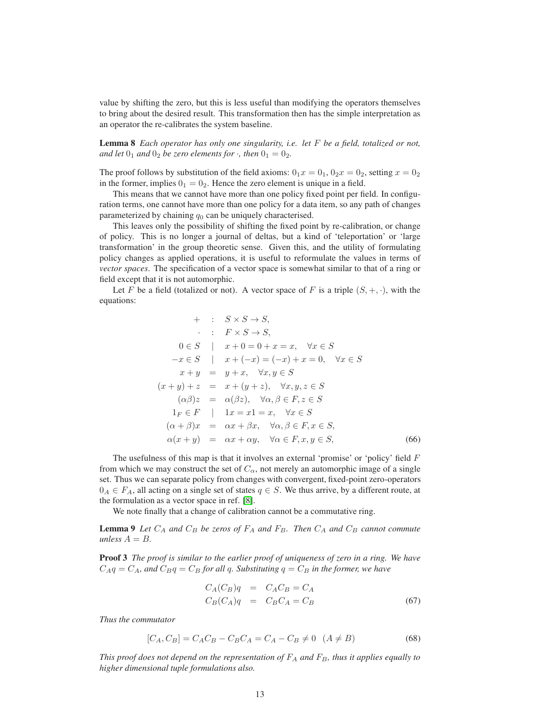value by shifting the zero, but this is less useful than modifying the operators themselves to bring about the desired result. This transformation then has the simple interpretation as an operator the re-calibrates the system baseline.

Lemma 8 *Each operator has only one singularity, i.e. let* F *be a field, totalized or not, and let*  $0_1$  *and*  $0_2$  *be zero elements for*  $\cdot$ *, then*  $0_1 = 0_2$ *.* 

The proof follows by substitution of the field axioms:  $0_1x = 0_1$ ,  $0_2x = 0_2$ , setting  $x = 0_2$ in the former, implies  $0_1 = 0_2$ . Hence the zero element is unique in a field.

This means that we cannot have more than one policy fixed point per field. In configuration terms, one cannot have more than one policy for a data item, so any path of changes parameterized by chaining  $q_0$  can be uniquely characterised.

This leaves only the possibility of shifting the fixed point by re-calibration, or change of policy. This is no longer a journal of deltas, but a kind of 'teleportation' or 'large transformation' in the group theoretic sense. Given this, and the utility of formulating policy changes as applied operations, it is useful to reformulate the values in terms of *vector spaces*. The specification of a vector space is somewhat similar to that of a ring or field except that it is not automorphic.

Let F be a field (totalized or not). A vector space of F is a triple  $(S, +, \cdot)$ , with the equations:

+ : 
$$
S \times S \rightarrow S
$$
,  
\t $\therefore$   $F \times S \rightarrow S$ ,  
\t $0 \in S$  |  $x + 0 = 0 + x = x$ ,  $\forall x \in S$   
\t $-x \in S$  |  $x + (-x) = (-x) + x = 0$ ,  $\forall x \in S$   
\t $x + y = y + x$ ,  $\forall x, y \in S$   
\t $(x + y) + z = x + (y + z)$ ,  $\forall x, y, z \in S$   
\t $(\alpha \beta)z = \alpha(\beta z)$ ,  $\forall \alpha, \beta \in F, z \in S$   
\t $1_F \in F$  |  $1x = x1 = x$ ,  $\forall x \in S$   
\t $(\alpha + \beta)x = \alpha x + \beta x$ ,  $\forall \alpha, \beta \in F, x \in S$ ,  
\t $\alpha(x + y) = \alpha x + \alpha y$ ,  $\forall \alpha \in F, x, y \in S$ , (66)

The usefulness of this map is that it involves an external 'promise' or 'policy' field  $F$ from which we may construct the set of  $C_{\alpha}$ , not merely an automorphic image of a single set. Thus we can separate policy from changes with convergent, fixed-point zero-operators  $0_A \in F_A$ , all acting on a single set of states  $q \in S$ . We thus arrive, by a different route, at the formulation as a vector space in ref. [\[8\]](#page-16-4).

We note finally that a change of calibration cannot be a commutative ring.

**Lemma 9** Let  $C_A$  and  $C_B$  be zeros of  $F_A$  and  $F_B$ . Then  $C_A$  and  $C_B$  cannot commute *unless*  $A = B$ .

Proof 3 *The proof is similar to the earlier proof of uniqueness of zero in a ring. We have*  $C_A q = C_A$ , and  $C_B q = C_B$  *for all q. Substituting*  $q = C_B$  *in the former, we have* 

$$
C_A(C_B)q = C_A C_B = C_A
$$
  
\n
$$
C_B(C_A)q = C_B C_A = C_B
$$
\n(67)

*Thus the commutator*

$$
[C_A, C_B] = C_A C_B - C_B C_A = C_A - C_B \neq 0 \quad (A \neq B)
$$
\n(68)

*This proof does not depend on the representation of*  $F_A$  *and*  $F_B$ *, thus it applies equally to higher dimensional tuple formulations also.*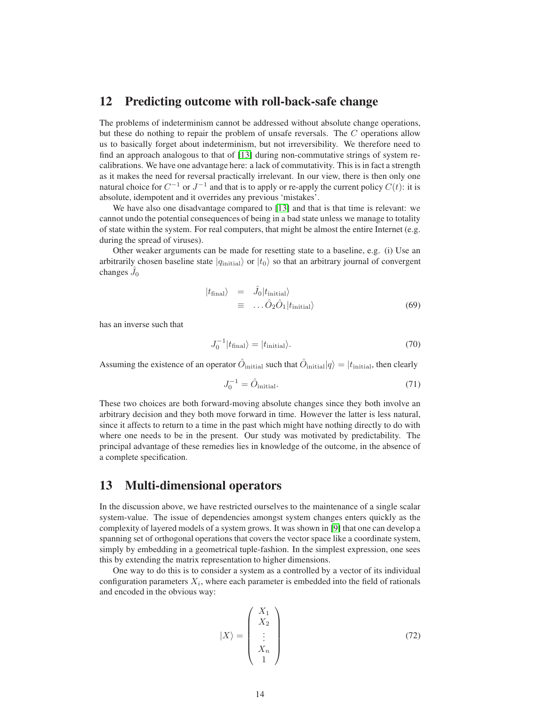#### 12 Predicting outcome with roll-back-safe change

The problems of indeterminism cannot be addressed without absolute change operations, but these do nothing to repair the problem of unsafe reversals. The C operations allow us to basically forget about indeterminism, but not irreversibility. We therefore need to find an approach analogous to that of [\[13\]](#page-16-9) during non-commutative strings of system recalibrations. We have one advantage here: a lack of commutativity. This is in fact a strength as it makes the need for reversal practically irrelevant. In our view, there is then only one natural choice for  $C^{-1}$  or  $J^{-1}$  and that is to apply or re-apply the current policy  $C(t)$ : it is absolute, idempotent and it overrides any previous 'mistakes'.

We have also one disadvantage compared to [\[13\]](#page-16-9) and that is that time is relevant: we cannot undo the potential consequences of being in a bad state unless we manage to totality of state within the system. For real computers, that might be almost the entire Internet (e.g. during the spread of viruses).

Other weaker arguments can be made for resetting state to a baseline, e.g. (i) Use an arbitrarily chosen baseline state  $|q_{initial}\rangle$  or  $|t_0\rangle$  so that an arbitrary journal of convergent changes  $\hat{J}_0$ 

$$
\begin{array}{rcl}\n\ket{t_{\text{final}}} & = & \hat{J}_0 | t_{\text{initial}} \\
& = & \dots \hat{O}_2 \hat{O}_1 | t_{\text{initial}}\n\end{array} \tag{69}
$$

has an inverse such that

$$
J_0^{-1}|t_{\text{final}}\rangle = |t_{\text{initial}}\rangle. \tag{70}
$$

Assuming the existence of an operator  $\hat{O}_{\text{initial}}$  such that  $\hat{O}_{\text{initial}}|q\rangle = |t_{\text{initial}}|$ , then clearly

$$
J_0^{-1} = \hat{O}_{\text{initial}}.\tag{71}
$$

These two choices are both forward-moving absolute changes since they both involve an arbitrary decision and they both move forward in time. However the latter is less natural, since it affects to return to a time in the past which might have nothing directly to do with where one needs to be in the present. Our study was motivated by predictability. The principal advantage of these remedies lies in knowledge of the outcome, in the absence of a complete specification.

### 13 Multi-dimensional operators

In the discussion above, we have restricted ourselves to the maintenance of a single scalar system-value. The issue of dependencies amongst system changes enters quickly as the complexity of layered models of a system grows. It was shown in [\[9\]](#page-16-5) that one can develop a spanning set of orthogonal operations that covers the vector space like a coordinate system, simply by embedding in a geometrical tuple-fashion. In the simplest expression, one sees this by extending the matrix representation to higher dimensions.

One way to do this is to consider a system as a controlled by a vector of its individual configuration parameters  $X_i$ , where each parameter is embedded into the field of rationals and encoded in the obvious way:

$$
|X\rangle = \begin{pmatrix} X_1 \\ X_2 \\ \vdots \\ X_n \\ 1 \end{pmatrix}
$$
 (72)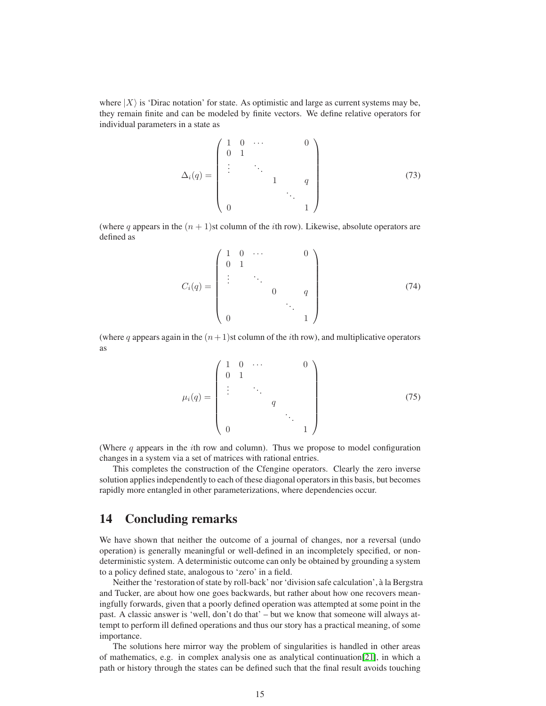where  $|X\rangle$  is 'Dirac notation' for state. As optimistic and large as current systems may be, they remain finite and can be modeled by finite vectors. We define relative operators for individual parameters in a state as

$$
\Delta_i(q) = \begin{pmatrix} 1 & 0 & \cdots & & & 0 \\ 0 & 1 & & & & \\ \vdots & & \ddots & & & \\ & & & 1 & & q & \\ 0 & & & & & 1 \end{pmatrix}
$$
 (73)

(where q appears in the  $(n + 1)$ st column of the *i*th row). Likewise, absolute operators are defined as

$$
C_i(q) = \begin{pmatrix} 1 & 0 & \cdots & & & 0 \\ 0 & 1 & & & & \\ \vdots & & \ddots & & & \\ & & & 0 & & q & \\ & & & & & \ddots & \\ 0 & & & & & 1 \end{pmatrix}
$$
 (74)

(where q appears again in the  $(n+1)$ st column of the *i*th row), and multiplicative operators as

$$
\mu_i(q) = \begin{pmatrix} 1 & 0 & \cdots & & & 0 \\ 0 & 1 & & & & \\ \vdots & & \ddots & & & \\ & & & q & & \\ 0 & & & & 1 \end{pmatrix}
$$
(75)

(Where  $q$  appears in the *i*th row and column). Thus we propose to model configuration changes in a system via a set of matrices with rational entries.

This completes the construction of the Cfengine operators. Clearly the zero inverse solution applies independently to each of these diagonal operators in this basis, but becomes rapidly more entangled in other parameterizations, where dependencies occur.

# 14 Concluding remarks

We have shown that neither the outcome of a journal of changes, nor a reversal (undo operation) is generally meaningful or well-defined in an incompletely specified, or nondeterministic system. A deterministic outcome can only be obtained by grounding a system to a policy defined state, analogous to 'zero' in a field.

Neither the 'restoration of state by roll-back' nor 'division safe calculation', à la Bergstra and Tucker, are about how one goes backwards, but rather about how one recovers meaningfully forwards, given that a poorly defined operation was attempted at some point in the past. A classic answer is 'well, don't do that' – but we know that someone will always attempt to perform ill defined operations and thus our story has a practical meaning, of some importance.

The solutions here mirror way the problem of singularities is handled in other areas of mathematics, e.g. in complex analysis one as analytical continuation[\[21\]](#page-16-17), in which a path or history through the states can be defined such that the final result avoids touching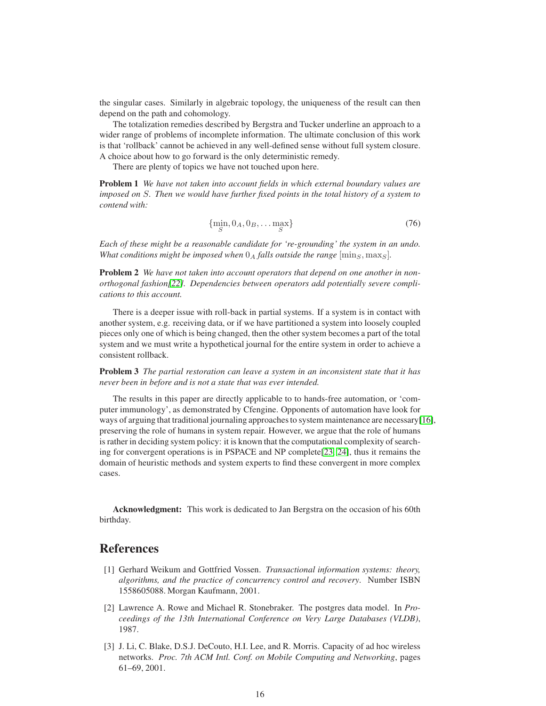the singular cases. Similarly in algebraic topology, the uniqueness of the result can then depend on the path and cohomology.

The totalization remedies described by Bergstra and Tucker underline an approach to a wider range of problems of incomplete information. The ultimate conclusion of this work is that 'rollback' cannot be achieved in any well-defined sense without full system closure. A choice about how to go forward is the only deterministic remedy.

There are plenty of topics we have not touched upon here.

Problem 1 *We have not taken into account fields in which external boundary values are imposed on* S*. Then we would have further fixed points in the total history of a system to contend with:*

$$
\{\min_{S} 0_A, 0_B, \dots \max_{S} \} \tag{76}
$$

*Each of these might be a reasonable candidate for 're-grounding' the system in an undo. What conditions might be imposed when*  $0_A$  *falls outside the range*  $[\text{min}_S, \text{max}_S]$ *.* 

Problem 2 *We have not taken into account operators that depend on one another in nonorthogonal fashion[\[22\]](#page-17-0). Dependencies between operators add potentially severe complications to this account.*

There is a deeper issue with roll-back in partial systems. If a system is in contact with another system, e.g. receiving data, or if we have partitioned a system into loosely coupled pieces only one of which is being changed, then the other system becomes a part of the total system and we must write a hypothetical journal for the entire system in order to achieve a consistent rollback.

Problem 3 *The partial restoration can leave a system in an inconsistent state that it has never been in before and is not a state that was ever intended.*

The results in this paper are directly applicable to to hands-free automation, or 'computer immunology', as demonstrated by Cfengine. Opponents of automation have look for ways of arguing that traditional journaling approaches to system maintenance are necessary[\[16\]](#page-16-12), preserving the role of humans in system repair. However, we argue that the role of humans is rather in deciding system policy: it is known that the computational complexity of searching for convergent operations is in PSPACE and NP complete[\[23,](#page-17-1) [24\]](#page-17-2), thus it remains the domain of heuristic methods and system experts to find these convergent in more complex cases.

Acknowledgment: This work is dedicated to Jan Bergstra on the occasion of his 60th birthday.

#### <span id="page-15-0"></span>References

- [1] Gerhard Weikum and Gottfried Vossen. *Transactional information systems: theory, algorithms, and the practice of concurrency control and recovery*. Number ISBN 1558605088. Morgan Kaufmann, 2001.
- <span id="page-15-1"></span>[2] Lawrence A. Rowe and Michael R. Stonebraker. The postgres data model. In *Proceedings of the 13th International Conference on Very Large Databases (VLDB)*, 1987.
- <span id="page-15-2"></span>[3] J. Li, C. Blake, D.S.J. DeCouto, H.I. Lee, and R. Morris. Capacity of ad hoc wireless networks. *Proc. 7th ACM Intl. Conf. on Mobile Computing and Networking*, pages 61–69, 2001.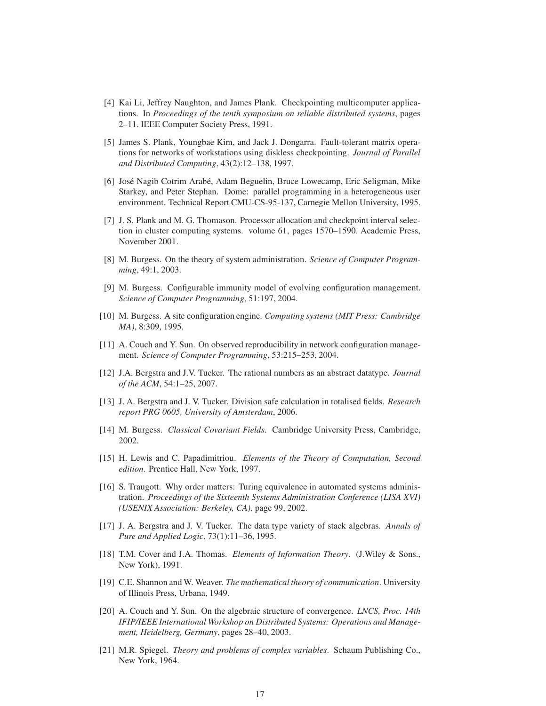- <span id="page-16-0"></span>[4] Kai Li, Jeffrey Naughton, and James Plank. Checkpointing multicomputer applications. In *Proceedings of the tenth symposium on reliable distributed systems*, pages 2–11. IEEE Computer Society Press, 1991.
- <span id="page-16-1"></span>[5] James S. Plank, Youngbae Kim, and Jack J. Dongarra. Fault-tolerant matrix operations for networks of workstations using diskless checkpointing. *Journal of Parallel and Distributed Computing*, 43(2):12–138, 1997.
- <span id="page-16-2"></span>[6] Jos´e Nagib Cotrim Arab´e, Adam Beguelin, Bruce Lowecamp, Eric Seligman, Mike Starkey, and Peter Stephan. Dome: parallel programming in a heterogeneous user environment. Technical Report CMU-CS-95-137, Carnegie Mellon University, 1995.
- <span id="page-16-3"></span>[7] J. S. Plank and M. G. Thomason. Processor allocation and checkpoint interval selection in cluster computing systems. volume 61, pages 1570–1590. Academic Press, November 2001.
- <span id="page-16-4"></span>[8] M. Burgess. On the theory of system administration. *Science of Computer Programming*, 49:1, 2003.
- <span id="page-16-6"></span><span id="page-16-5"></span>[9] M. Burgess. Configurable immunity model of evolving configuration management. *Science of Computer Programming*, 51:197, 2004.
- <span id="page-16-7"></span>[10] M. Burgess. A site configuration engine. *Computing systems (MIT Press: Cambridge MA)*, 8:309, 1995.
- [11] A. Couch and Y. Sun. On observed reproducibility in network configuration management. *Science of Computer Programming*, 53:215–253, 2004.
- <span id="page-16-8"></span>[12] J.A. Bergstra and J.V. Tucker. The rational numbers as an abstract datatype. *Journal of the ACM*, 54:1–25, 2007.
- <span id="page-16-9"></span>[13] J. A. Bergstra and J. V. Tucker. Division safe calculation in totalised fields. *Research report PRG 0605, University of Amsterdam*, 2006.
- <span id="page-16-11"></span><span id="page-16-10"></span>[14] M. Burgess. *Classical Covariant Fields*. Cambridge University Press, Cambridge, 2002.
- <span id="page-16-12"></span>[15] H. Lewis and C. Papadimitriou. *Elements of the Theory of Computation, Second edition*. Prentice Hall, New York, 1997.
- [16] S. Traugott. Why order matters: Turing equivalence in automated systems administration. *Proceedings of the Sixteenth Systems Administration Conference (LISA XVI) (USENIX Association: Berkeley, CA)*, page 99, 2002.
- <span id="page-16-13"></span>[17] J. A. Bergstra and J. V. Tucker. The data type variety of stack algebras. *Annals of Pure and Applied Logic*, 73(1):11–36, 1995.
- <span id="page-16-15"></span>[18] T.M. Cover and J.A. Thomas. *Elements of Information Theory*. (J.Wiley & Sons., New York), 1991.
- <span id="page-16-16"></span>[19] C.E. Shannon and W. Weaver. *The mathematical theory of communication*. University of Illinois Press, Urbana, 1949.
- <span id="page-16-14"></span>[20] A. Couch and Y. Sun. On the algebraic structure of convergence. *LNCS, Proc. 14th IFIP/IEEE International Workshop on Distributed Systems: Operations and Management, Heidelberg, Germany*, pages 28–40, 2003.
- <span id="page-16-17"></span>[21] M.R. Spiegel. *Theory and problems of complex variables*. Schaum Publishing Co., New York, 1964.